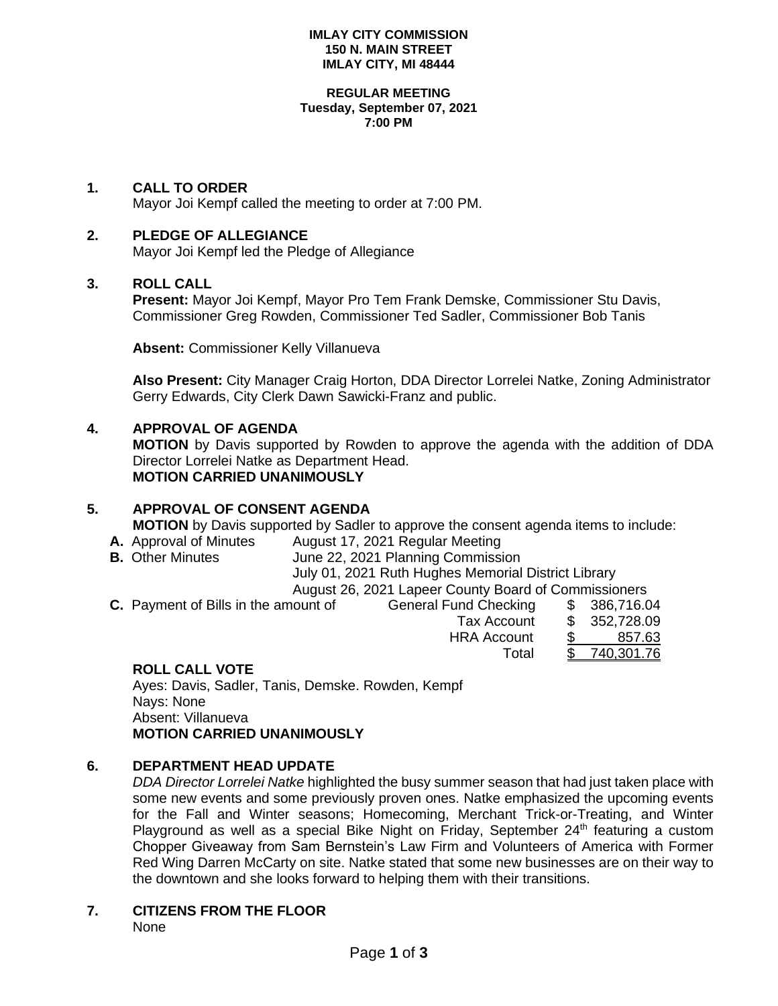#### **IMLAY CITY COMMISSION 150 N. MAIN STREET IMLAY CITY, MI 48444**

#### **REGULAR MEETING Tuesday, September 07, 2021 7:00 PM**

## **1. CALL TO ORDER**

Mayor Joi Kempf called the meeting to order at 7:00 PM.

### **2. PLEDGE OF ALLEGIANCE**

Mayor Joi Kempf led the Pledge of Allegiance

### **3. ROLL CALL**

**Present:** Mayor Joi Kempf, Mayor Pro Tem Frank Demske, Commissioner Stu Davis, Commissioner Greg Rowden, Commissioner Ted Sadler, Commissioner Bob Tanis

**Absent:** Commissioner Kelly Villanueva

**Also Present:** City Manager Craig Horton, DDA Director Lorrelei Natke, Zoning Administrator Gerry Edwards, City Clerk Dawn Sawicki-Franz and public.

### **4. APPROVAL OF AGENDA**

**MOTION** by Davis supported by Rowden to approve the agenda with the addition of DDA Director Lorrelei Natke as Department Head. **MOTION CARRIED UNANIMOUSLY**

## **5. APPROVAL OF CONSENT AGENDA**

**MOTION** by Davis supported by Sadler to approve the consent agenda items to include:

- **A.** Approval of Minutes August 17, 2021 Regular Meeting
- **B.** Other Minutes **June 22, 2021 Planning Commission**

July 01, 2021 Ruth Hughes Memorial District Library

August 26, 2021 Lapeer County Board of Commissioners

Total \$ 740,301.76

**C.** Payment of Bills in the amount of General Fund Checking \$ 386,716.04 Tax Account \$ 352,728.09 HRA Account \$ 857.63

# **ROLL CALL VOTE**

Ayes: Davis, Sadler, Tanis, Demske. Rowden, Kempf Nays: None Absent: Villanueva **MOTION CARRIED UNANIMOUSLY**

# **6. DEPARTMENT HEAD UPDATE**

*DDA Director Lorrelei Natke* highlighted the busy summer season that had just taken place with some new events and some previously proven ones. Natke emphasized the upcoming events for the Fall and Winter seasons; Homecoming, Merchant Trick-or-Treating, and Winter Playground as well as a special Bike Night on Friday, September  $24<sup>th</sup>$  featuring a custom Chopper Giveaway from Sam Bernstein's Law Firm and Volunteers of America with Former Red Wing Darren McCarty on site. Natke stated that some new businesses are on their way to the downtown and she looks forward to helping them with their transitions.

# **7. CITIZENS FROM THE FLOOR**

None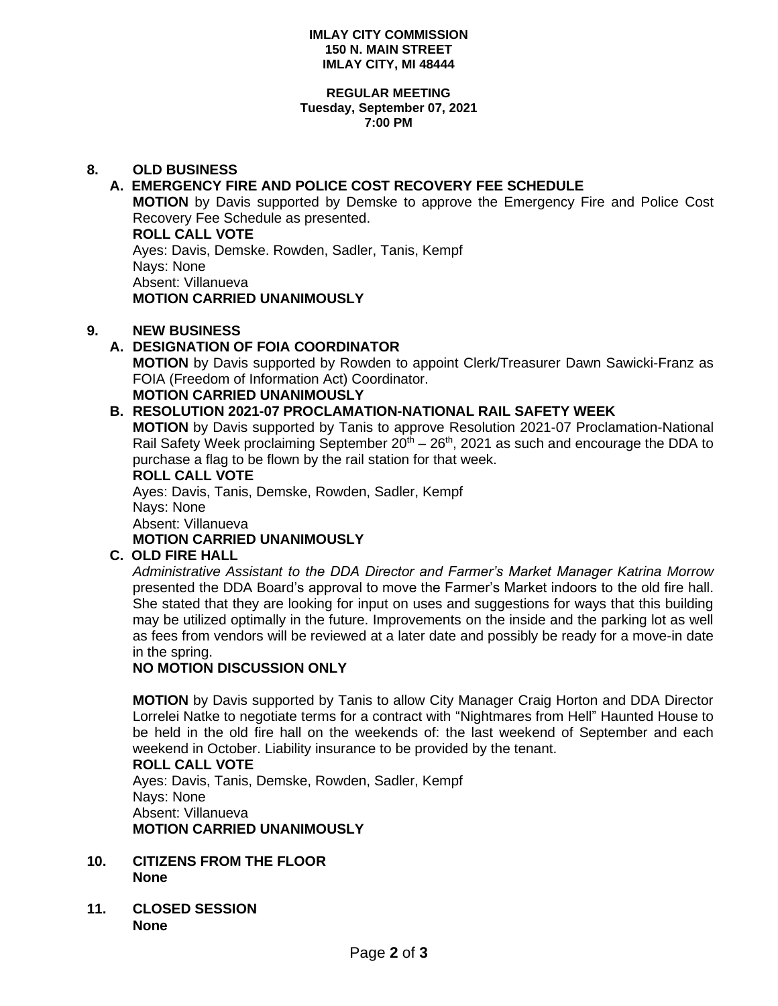#### **IMLAY CITY COMMISSION 150 N. MAIN STREET IMLAY CITY, MI 48444**

#### **REGULAR MEETING Tuesday, September 07, 2021 7:00 PM**

# **8. OLD BUSINESS**

# **A. EMERGENCY FIRE AND POLICE COST RECOVERY FEE SCHEDULE**

**MOTION** by Davis supported by Demske to approve the Emergency Fire and Police Cost Recovery Fee Schedule as presented.

**ROLL CALL VOTE** Ayes: Davis, Demske. Rowden, Sadler, Tanis, Kempf Nays: None Absent: Villanueva **MOTION CARRIED UNANIMOUSLY**

# **9. NEW BUSINESS**

# **A. DESIGNATION OF FOIA COORDINATOR**

**MOTION** by Davis supported by Rowden to appoint Clerk/Treasurer Dawn Sawicki-Franz as FOIA (Freedom of Information Act) Coordinator.

# **MOTION CARRIED UNANIMOUSLY**

# **B. RESOLUTION 2021-07 PROCLAMATION-NATIONAL RAIL SAFETY WEEK**

**MOTION** by Davis supported by Tanis to approve Resolution 2021-07 Proclamation-National Rail Safety Week proclaiming September  $20<sup>th</sup> - 26<sup>th</sup>$ , 2021 as such and encourage the DDA to purchase a flag to be flown by the rail station for that week.

### **ROLL CALL VOTE**

Ayes: Davis, Tanis, Demske, Rowden, Sadler, Kempf Nays: None Absent: Villanueva

# **MOTION CARRIED UNANIMOUSLY**

# **C. OLD FIRE HALL**

*Administrative Assistant to the DDA Director and Farmer's Market Manager Katrina Morrow* presented the DDA Board's approval to move the Farmer's Market indoors to the old fire hall. She stated that they are looking for input on uses and suggestions for ways that this building may be utilized optimally in the future. Improvements on the inside and the parking lot as well as fees from vendors will be reviewed at a later date and possibly be ready for a move-in date in the spring.

# **NO MOTION DISCUSSION ONLY**

**MOTION** by Davis supported by Tanis to allow City Manager Craig Horton and DDA Director Lorrelei Natke to negotiate terms for a contract with "Nightmares from Hell" Haunted House to be held in the old fire hall on the weekends of: the last weekend of September and each weekend in October. Liability insurance to be provided by the tenant.

#### **ROLL CALL VOTE**

Ayes: Davis, Tanis, Demske, Rowden, Sadler, Kempf Nays: None Absent: Villanueva **MOTION CARRIED UNANIMOUSLY**

- **10. CITIZENS FROM THE FLOOR None**
- **11. CLOSED SESSION None**